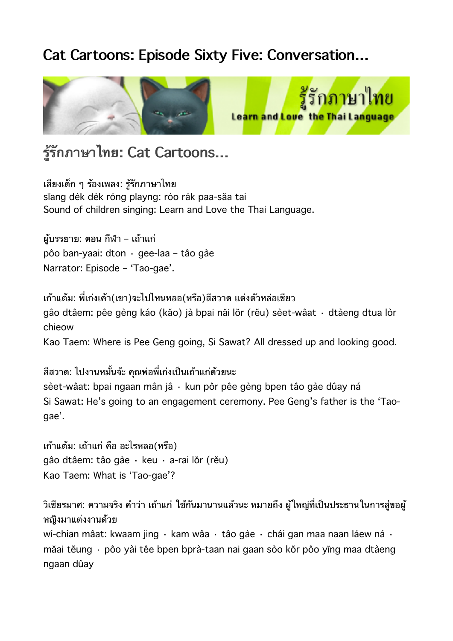# **Cat Cartoons: Episode Sixty Five: Conversation…**



# **รรกภาษาไทย: Cat Cartoons…**

เสยงเดก ๆ รองเพลง: รรกภาษาไทย sĭang dèk dèk róng playng: róo rák paa-săa tai Sound of children singing: Learn and Love the Thai Language.

ผ้บรรยาย: ตอน กีฬา – เถ้าแก่ pôo ban-yaai: dton · gee-laa – tâo gàe Narrator: Episode – 'Tao-gae'.

เก้าแต้ม: พี่เก่งเค้า(เขา)จะไปไหนหลอ(หรือ)สีสวาด แต่งตัวหล่อเชียว gâo dtâem: pêe gèng káo (kăo) jà bpai năi lŏr (rĕu) sèet-wâat · dtàeng dtua lòr chieow Kao Taem: Where is Pee Geng going, Si Sawat? All dressed up and looking good.

สีสวาด: ไปงานหมั้นจ้ะ คณพ่อพี่เก่งเป็นเถ้าแก่ด้วยนะ sèet-wâat: bpai ngaan mân jâ · kun pôr pêe gèng bpen tâo gàe dûay ná Si Sawat: He's going to an engagement ceremony. Pee Geng's father is the 'Taogae'.

เกาแตม: เถาแก คอ อะไรหลอ(หรอ) gâo dtâem: tâo gàe · keu · a-rai lŏr (rĕu) Kao Taem: What is 'Tao-gae'?

้วิเชียรมาศ: ความจริง คำว่า เถ้าแก่ ใช้กันมานานแล้วนะ หมายถึง ผ้ใหญ่ที่เป็นประธานในการส่ขอผ้ หญงมาแตงงานดวย

wí-chian mâat: kwaam jing · kam wâa · tâo gàe · chái gan maa naan láew ná · măai tĕung · pôo yài têe bpen bprà-taan nai gaan sòo kŏr pôo yĭng maa dtàeng ngaan dûay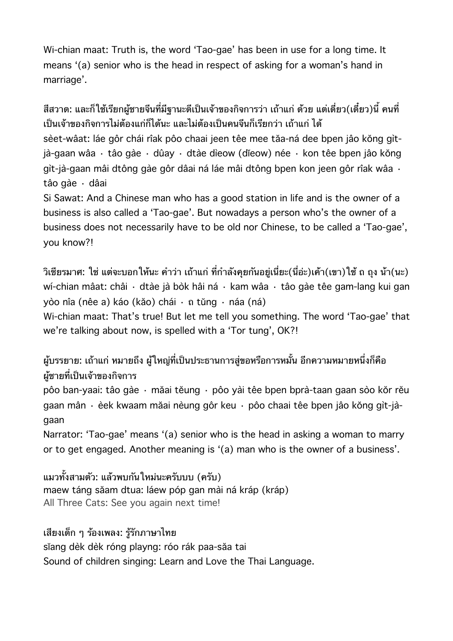Wi-chian maat: Truth is, the word 'Tao-gae' has been in use for a long time. It means '(a) senior who is the head in respect of asking for a woman's hand in marriage'.

สีสวาด: และก็ใช้เรียกผ้ชายจีนที่มีฐานะดีเป็นเจ้าของกิจการว่า เถ้าแก่ ด้วย แต่เดี่ยว(เดี๋ยว)นี้ คนที่ เป็นเจ้าของกิจการไม่ต้องแก่ก็ได้นะ และไม่ต้องเป็นคนจีนก็เรียกว่า เถ้าแก่ ได้ sèet-wâat: láe gôr chái rîak pôo chaai jeen têe mee tăa-ná dee bpen jâo kŏng gìtjà-gaan wâa · tâo gàe · dûay · dtàe dìeow (dĭeow) née · kon têe bpen jâo kŏng gìt-jà-gaan mâi dtông gàe gôr dâai ná láe mâi dtông bpen kon jeen gôr rîak wâa · tâo gàe · dâai Si Sawat: And a Chinese man who has a good station in life and is the owner of a

business is also called a 'Tao-gae'. But nowadays a person who's the owner of a business does not necessarily have to be old nor Chinese, to be called a 'Tao-gae', you know?!

วิเชียรมาศ: ใช่ แต่จะบอกให้นะ คำว่า เถ้าแก่ ที่กำลังคยกันอยู่เนี่ยะ(นี่อ่ะ)เค้า(เขา)ใช้ ถ ถง น้า(นะ) wí-chian mâat: châi · dtàe jà bòk hâi ná · kam wâa · tâo gàe têe gam-lang kui gan yòo nîa (nêe a) káo (kăo) chái · ถ tŭng · náa (ná) Wi-chian maat: That's true! But let me tell you something. The word 'Tao-gae' that

we're talking about now, is spelled with a 'Tor tung', OK?!

ผู้บรรยาย: เถ้าแก่ หมายถึง ผู้ใหญ่ที่เป็นประธานการสู่ขอหรือการหมั้น อีกความหมายหนึ่งก็คือ ผ้ชายที่เป็นเจ้าของกิจการ

pôo ban-yaai: tâo gàe · măai tĕung · pôo yài têe bpen bprà-taan gaan sòo kŏr rĕu gaan mân · èek kwaam măai nèung gôr keu · pôo chaai têe bpen jâo kŏng gìt-jàgaan

Narrator: 'Tao-gae' means '(a) senior who is the head in asking a woman to marry or to get engaged. Another meaning is '(a) man who is the owner of a business'.

แมวทั้งสามตัว: แล้วพบกันใหม่นะครับบบ (ครับ) maew táng săam dtua: láew póp gan mài ná kráp (kráp) All Three Cats: See you again next time!

เสยงเดก ๆ รองเพลง: รรกภาษาไทย sĭang dèk dèk róng playng: róo rák paa-săa tai Sound of children singing: Learn and Love the Thai Language.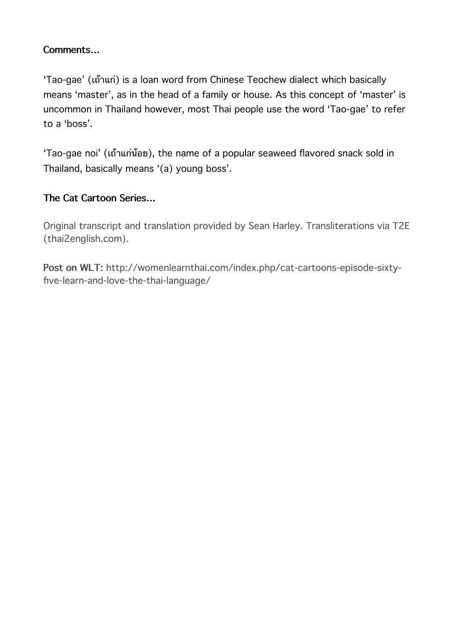### **Comments…**

'Tao-gae' (เถาแก) is a loan word from Chinese Teochew dialect which basically means 'master', as in the head of a family or house. As this concept of 'master' is uncommon in Thailand however, most Thai people use the word 'Tao-gae' to refer to a 'boss'.

'Tao-gae noi' (เถาแกนอย), the name of a popular seaweed flavored snack sold in Thailand, basically means '(a) young boss'.

### **The Cat Cartoon Series…**

Original transcript and translation provided by Sean Harley. Transliterations via T2E [\(thai2english.com](http://thai2english.com/)).

**Post on WLT:** http://womenlearnthai.com/index.php/cat-cartoons-episode-sixtyfive-learn-and-love-the-thai-language/